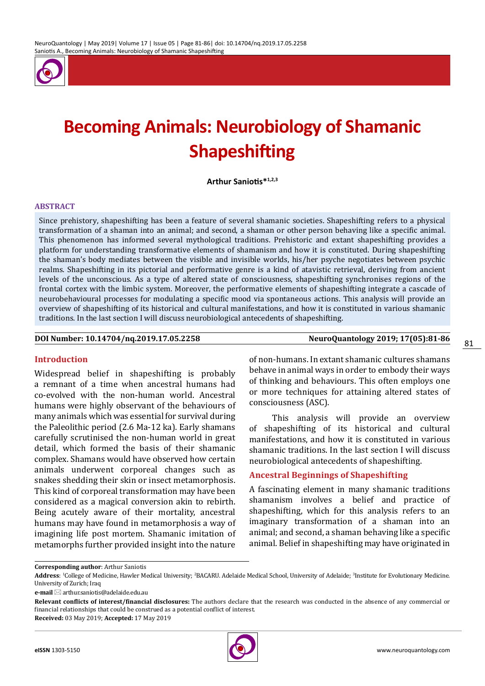

# **Becoming Animals: Neurobiology of Shamanic Shapeshifting**

**Arthur Saniotis\*1,2,3**

#### **ABSTRACT**

Since prehistory, shapeshifting has been a feature of several shamanic societies. Shapeshifting refers to a physical transformation of a shaman into an animal; and second, a shaman or other person behaving like a specific animal. This phenomenon has informed several mythological traditions. Prehistoric and extant shapeshifting provides a platform for understanding transformative elements of shamanism and how it is constituted. During shapeshifting the shaman's body mediates between the visible and invisible worlds, his/her psyche negotiates between psychic realms. Shapeshifting in its pictorial and performative genre is a kind of atavistic retrieval, deriving from ancient levels of the unconscious. As a type of altered state of consciousness, shapeshifting synchronises regions of the frontal cortex with the limbic system. Moreover, the performative elements of shapeshifting integrate a cascade of neurobehavioural processes for modulating a specific mood via spontaneous actions. This analysis will provide an overview of shapeshifting of its historical and cultural manifestations, and how it is constituted in various shamanic traditions. In the last section I will discuss neurobiological antecedents of shapeshifting.

#### **DOI Number: 10.14704/nq.2019.17.05.2258 NeuroQuantology 2019; 17(05):81-86**

#### **Introduction**

Widespread belief in shapeshifting is probably a remnant of a time when ancestral humans had co-evolved with the non-human world. Ancestral humans were highly observant of the behaviours of many animals which was essential for survival during the Paleolithic period (2.6 Ma-12 ka). Early shamans carefully scrutinised the non-human world in great detail, which formed the basis of their shamanic complex. Shamans would have observed how certain animals underwent corporeal changes such as snakes shedding their skin or insect metamorphosis. This kind of corporeal transformation may have been considered as a magical conversion akin to rebirth. Being acutely aware of their mortality, ancestral humans may have found in metamorphosis a way of imagining life post mortem. Shamanic imitation of metamorphs further provided insight into the nature

of non-humans. In extant shamanic cultures shamans behave in animal ways in order to embody their ways of thinking and behaviours. This often employs one or more techniques for attaining altered states of consciousness (ASC).

This analysis will provide an overview of shapeshifting of its historical and cultural manifestations, and how it is constituted in various shamanic traditions. In the last section I will discuss neurobiological antecedents of shapeshifting.

#### **Ancestral Beginnings of Shapeshifting**

A fascinating element in many shamanic traditions shamanism involves a belief and practice of shapeshifting, which for this analysis refers to an imaginary transformation of a shaman into an animal; and second, a shaman behaving like a specific animal. Belief in shapeshifting may have originated in

**Corresponding author**: Arthur Saniotis

**Received:** 03 May 2019; **Accepted:** 17 May 2019



Address: <sup>1</sup>College of Medicine, Hawler Medical University; <sup>2</sup>BACARU. Adelaide Medical School, University of Adelaide; <sup>3</sup>Institute for Evolutionary Medicine. University of Zurich; Iraq

**e-mail** ⊠ arthur.saniotis@adelaide.edu.au

**Relevant conflicts of interest/financial disclosures:** The authors declare that the research was conducted in the absence of any commercial or financial relationships that could be construed as a potential conflict of interest.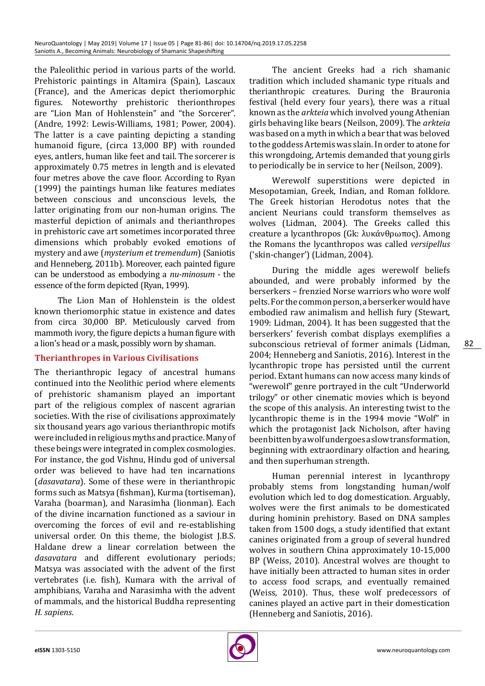the Paleolithic period in various parts of the world. Prehistoric paintings in Altamira (Spain), Lascaux (France), and the Americas depict theriomorphic figures. Noteworthy prehistoric therionthropes are "Lion Man of Hohlenstein" and "the Sorcerer". (Andre, 1992: Lewis-Williams, 1981; Power, 2004). The latter is a cave painting depicting a standing humanoid figure, (circa 13,000 BP) with rounded eyes, antlers, human like feet and tail. The sorcerer is approximately 0.75 metres in length and is elevated four metres above the cave floor. According to Ryan (1999) the paintings human like features mediates between conscious and unconscious levels, the latter originating from our non-human origins. The masterful depiction of animals and therianthropes in prehistoric cave art sometimes incorporated three dimensions which probably evoked emotions of mystery and awe (*mysterium et tremendum*) (Saniotis and Henneberg, 2011b). Moreover, each painted figure can be understood as embodying a *nu-minosum* - the essence of the form depicted (Ryan, 1999).

The Lion Man of Hohlenstein is the oldest known theriomorphic statue in existence and dates from circa 30,000 BP. Meticulously carved from mammoth ivory, the figure depicts a human figure with a lion's head or a mask, possibly worn by shaman.

# **Therianthropes in Various Civilisations**

The therianthropic legacy of ancestral humans continued into the Neolithic period where elements of prehistoric shamanism played an important part of the religious complex of nascent agrarian societies. With the rise of civilisations approximately six thousand years ago various therianthropic motifs were included in religious myths and practice. Many of these beings were integrated in complex cosmologies. For instance, the god Vishnu, Hindu god of universal order was believed to have had ten incarnations (*dasavatara*). Some of these were in therianthropic forms such as Matsya (fishman), Kurma (tortiseman), Varaha (boarman), and Narasimha (lionman). Each of the divine incarnation functioned as a saviour in overcoming the forces of evil and re-establishing universal order. On this theme, the biologist J.B.S. Haldane drew a linear correlation between the *dasavatara* and different evolutionary periods; Matsya was associated with the advent of the first vertebrates (i.e. fish), Kumara with the arrival of amphibians, Varaha and Narasimha with the advent of mammals, and the historical Buddha representing *H. sapiens*.

The ancient Greeks had a rich shamanic tradition which included shamanic type rituals and therianthropic creatures. During the Brauronia festival (held every four years), there was a ritual known as the *arkteia* which involved young Athenian girls behaving like bears (Neilson, 2009). The *arkteia* was based on a myth in which a bear that was beloved to the goddess Artemis was slain. In order to atone for this wrongdoing, Artemis demanded that young girls to periodically be in service to her (Neilson, 2009).

Werewolf superstitions were depicted in Mesopotamian, Greek, Indian, and Roman folklore. The Greek historian Herodotus notes that the ancient Neurians could transform themselves as wolves (Lidman, 2004). The Greeks called this creature a lycanthropos (Gk: λυκάνθρωπος). Among the Romans the lycanthropos was called *versipellus* ('skin-changer') (Lidman, 2004).

During the middle ages werewolf beliefs abounded, and were probably informed by the berserkers – frenzied Norse warriors who wore wolf pelts. For the common person, a berserker would have embodied raw animalism and hellish fury (Stewart, 1909: Lidman, 2004). It has been suggested that the berserkers' feverish combat displays exemplifies a subconscious retrieval of former animals (Lidman, 2004; Henneberg and Saniotis, 2016). Interest in the lycanthropic trope has persisted until the current period. Extant humans can now access many kinds of "werewolf" genre portrayed in the cult "Underworld trilogy" or other cinematic movies which is beyond the scope of this analysis. An interesting twist to the lycanthropic theme is in the 1994 movie "Wolf" in which the protagonist Jack Nicholson, after having been bitten by a wolf undergoes a slow transformation, beginning with extraordinary olfaction and hearing, and then superhuman strength.

Human perennial interest in lycanthropy probably stems from longstanding human/wolf evolution which led to dog domestication. Arguably, wolves were the first animals to be domesticated during hominin prehistory. Based on DNA samples taken from 1500 dogs, a study identified that extant canines originated from a group of several hundred wolves in southern China approximately 10-15,000 BP (Weiss, 2010). Ancestral wolves are thought to have initially been attracted to human sites in order to access food scraps, and eventually remained (Weiss, 2010). Thus, these wolf predecessors of canines played an active part in their domestication (Henneberg and Saniotis, 2016).

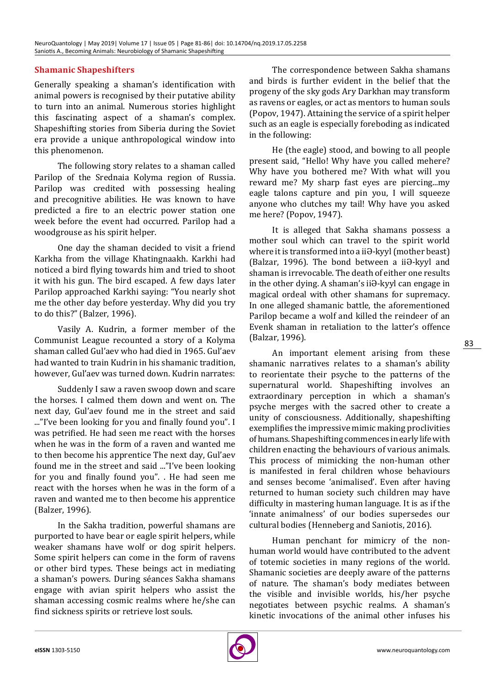# **Shamanic Shapeshifters**

Generally speaking a shaman's identification with animal powers is recognised by their putative ability to turn into an animal. Numerous stories highlight this fascinating aspect of a shaman's complex. Shapeshifting stories from Siberia during the Soviet era provide a unique anthropological window into this phenomenon.

The following story relates to a shaman called Parilop of the Srednaia Kolyma region of Russia. Parilop was credited with possessing healing and precognitive abilities. He was known to have predicted a fire to an electric power station one week before the event had occurred. Parilop had a woodgrouse as his spirit helper.

One day the shaman decided to visit a friend Karkha from the village Khatingnaakh. Karkhi had noticed a bird flying towards him and tried to shoot it with his gun. The bird escaped. A few days later Parilop approached Karkhi saying: "You nearly shot me the other day before yesterday. Why did you try to do this?" (Balzer, 1996).

Vasily A. Kudrin, a former member of the Communist League recounted a story of a Kolyma shaman called Gul'aev who had died in 1965. Gul'aev had wanted to train Kudrin in his shamanic tradition, however, Gul'aev was turned down. Kudrin narrates:

Suddenly I saw a raven swoop down and scare the horses. I calmed them down and went on. The next day, Gul'aev found me in the street and said ..."I've been looking for you and finally found you". I was petrified. He had seen me react with the horses when he was in the form of a raven and wanted me to then become his apprentice The next day, Gul'aev found me in the street and said ..."I've been looking for you and finally found you". . He had seen me react with the horses when he was in the form of a raven and wanted me to then become his apprentice (Balzer, 1996).

In the Sakha tradition, powerful shamans are purported to have bear or eagle spirit helpers, while weaker shamans have wolf or dog spirit helpers. Some spirit helpers can come in the form of ravens or other bird types. These beings act in mediating a shaman's powers. During séances Sakha shamans engage with avian spirit helpers who assist the shaman accessing cosmic realms where he/she can find sickness spirits or retrieve lost souls.

The correspondence between Sakha shamans and birds is further evident in the belief that the progeny of the sky gods Ary Darkhan may transform as ravens or eagles, or act as mentors to human souls (Popov, 1947). Attaining the service of a spirit helper such as an eagle is especially foreboding as indicated in the following:

He (the eagle) stood, and bowing to all people present said, "Hello! Why have you called mehere? Why have you bothered me? With what will you reward me? My sharp fast eyes are piercing...my eagle talons capture and pin you, I will squeeze anyone who clutches my tail! Why have you asked me here? (Popov, 1947).

It is alleged that Sakha shamans possess a mother soul which can travel to the spirit world where it is transformed into a iiƏ-kyyl (mother beast) (Balzar, 1996). The bond between a iiƏ-kyyl and shaman is irrevocable. The death of either one results in the other dying. A shaman's iiƏ-kyyl can engage in magical ordeal with other shamans for supremacy. In one alleged shamanic battle, the aforementioned Parilop became a wolf and killed the reindeer of an Evenk shaman in retaliation to the latter's offence (Balzar, 1996).

An important element arising from these shamanic narratives relates to a shaman's ability to reorientate their psyche to the patterns of the supernatural world. Shapeshifting involves an extraordinary perception in which a shaman's psyche merges with the sacred other to create a unity of consciousness. Additionally, shapeshifting exemplifies the impressive mimic making proclivities of humans. Shapeshifting commences in early life with children enacting the behaviours of various animals. This process of mimicking the non-human other is manifested in feral children whose behaviours and senses become 'animalised'. Even after having returned to human society such children may have difficulty in mastering human language. It is as if the 'innate animalness' of our bodies supersedes our cultural bodies (Henneberg and Saniotis, 2016).

Human penchant for mimicry of the nonhuman world would have contributed to the advent of totemic societies in many regions of the world. Shamanic societies are deeply aware of the patterns of nature. The shaman's body mediates between the visible and invisible worlds, his/her psyche negotiates between psychic realms. A shaman's kinetic invocations of the animal other infuses his



83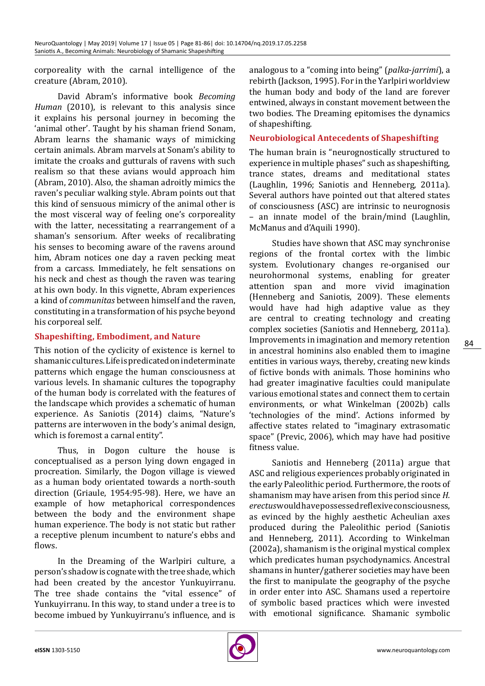corporeality with the carnal intelligence of the creature (Abram, 2010).

David Abram's informative book *Becoming Human* (2010), is relevant to this analysis since it explains his personal journey in becoming the 'animal other'. Taught by his shaman friend Sonam, Abram learns the shamanic ways of mimicking certain animals. Abram marvels at Sonam's ability to imitate the croaks and gutturals of ravens with such realism so that these avians would approach him (Abram, 2010). Also, the shaman adroitly mimics the raven's peculiar walking style. Abram points out that this kind of sensuous mimicry of the animal other is the most visceral way of feeling one's corporeality with the latter, necessitating a rearrangement of a shaman's sensorium. After weeks of recalibrating his senses to becoming aware of the ravens around him, Abram notices one day a raven pecking meat from a carcass. Immediately, he felt sensations on his neck and chest as though the raven was tearing at his own body. In this vignette, Abram experiences a kind of *communitas* between himself and the raven, constituting in a transformation of his psyche beyond his corporeal self.

# **Shapeshifting, Embodiment, and Nature**

This notion of the cyclicity of existence is kernel to shamanic cultures. Life is predicated on indeterminate patterns which engage the human consciousness at various levels. In shamanic cultures the topography of the human body is correlated with the features of the landscape which provides a schematic of human experience. As Saniotis (2014) claims, "Nature's patterns are interwoven in the body's animal design, which is foremost a carnal entity".

Thus, in Dogon culture the house is conceptualised as a person lying down engaged in procreation. Similarly, the Dogon village is viewed as a human body orientated towards a north-south direction (Griaule, 1954:95-98). Here, we have an example of how metaphorical correspondences between the body and the environment shape human experience. The body is not static but rather a receptive plenum incumbent to nature's ebbs and flows.

In the Dreaming of the Warlpiri culture, a person's shadow is cognate with the tree shade, which had been created by the ancestor Yunkuyirranu. The tree shade contains the "vital essence" of Yunkuyirranu. In this way, to stand under a tree is to become imbued by Yunkuyirranu's influence, and is

analogous to a "coming into being" (*palka*-*jarrimi*), a rebirth (Jackson, 1995). For in the Yarlpiri worldview the human body and body of the land are forever entwined, always in constant movement between the two bodies. The Dreaming epitomises the dynamics of shapeshifting.

#### **Neurobiological Antecedents of Shapeshifting**

The human brain is "neurognostically structured to experience in multiple phases" such as shapeshifting, trance states, dreams and meditational states (Laughlin, 1996; Saniotis and Henneberg, 2011a). Several authors have pointed out that altered states of consciousness (ASC) are intrinsic to neurognosis – an innate model of the brain/mind (Laughlin, McManus and d'Aquili 1990).

Studies have shown that ASC may synchronise regions of the frontal cortex with the limbic system. Evolutionary changes re-organised our neurohormonal systems, enabling for greater attention span and more vivid imagination (Henneberg and Saniotis, 2009). These elements would have had high adaptive value as they are central to creating technology and creating complex societies (Saniotis and Henneberg, 2011a). Improvements in imagination and memory retention in ancestral hominins also enabled them to imagine entities in various ways, thereby, creating new kinds of fictive bonds with animals. Those hominins who had greater imaginative faculties could manipulate various emotional states and connect them to certain environments, or what Winkelman (2002b) calls 'technologies of the mind'. Actions informed by affective states related to "imaginary extrasomatic space" (Previc, 2006), which may have had positive fitness value.

Saniotis and Henneberg (2011a) argue that ASC and religious experiences probably originated in the early Paleolithic period. Furthermore, the roots of shamanism may have arisen from this period since *H. erectus* would have possessed reflexive consciousness, as evinced by the highly aesthetic Acheulian axes produced during the Paleolithic period (Saniotis and Henneberg, 2011). According to Winkelman (2002a), shamanism is the original mystical complex which predicates human psychodynamics. Ancestral shamans in hunter/gatherer societies may have been the first to manipulate the geography of the psyche in order enter into ASC. Shamans used a repertoire of symbolic based practices which were invested with emotional significance. Shamanic symbolic

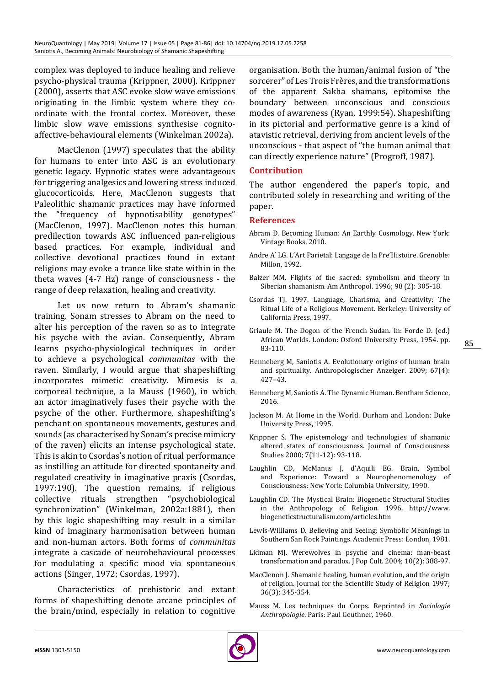complex was deployed to induce healing and relieve psycho-physical trauma (Krippner, 2000). Krippner (2000), asserts that ASC evoke slow wave emissions originating in the limbic system where they coordinate with the frontal cortex. Moreover, these limbic slow wave emissions synthesise cognitoaffective-behavioural elements (Winkelman 2002a).

MacClenon (1997) speculates that the ability for humans to enter into ASC is an evolutionary genetic legacy. Hypnotic states were advantageous for triggering analgesics and lowering stress induced glucocorticoids. Here, MacClenon suggests that Paleolithic shamanic practices may have informed<br>the "frequency of hypnotisability genotynes" "frequency of hypnotisability genotypes" (MacClenon, 1997). MacClenon notes this human predilection towards ASC influenced pan-religious based practices. For example, individual and collective devotional practices found in extant religions may evoke a trance like state within in the theta waves (4-7 Hz) range of consciousness - the range of deep relaxation, healing and creativity.

Let us now return to Abram's shamanic training. Sonam stresses to Abram on the need to alter his perception of the raven so as to integrate his psyche with the avian. Consequently, Abram learns psycho-physiological techniques in order to achieve a psychological *communitas* with the raven. Similarly, I would argue that shapeshifting incorporates mimetic creativity. Mimesis is a corporeal technique, a la Mauss (1960), in which an actor imaginatively fuses their psyche with the psyche of the other. Furthermore, shapeshifting's penchant on spontaneous movements, gestures and sounds (as characterised by Sonam's precise mimicry of the raven) elicits an intense psychological state. This is akin to Csordas's notion of ritual performance as instilling an attitude for directed spontaneity and regulated creativity in imaginative praxis (Csordas, 1997:190). The question remains, if religious<br>collective rituals strengthen "psychobiological collective rituals strengthen synchronization" (Winkelman, 2002a:1881), then by this logic shapeshifting may result in a similar kind of imaginary harmonisation between human and non-human actors. Both forms of *communitas* integrate a cascade of neurobehavioural processes for modulating a specific mood via spontaneous actions (Singer, 1972; Csordas, 1997).

Characteristics of prehistoric and extant forms of shapeshifting denote arcane principles of the brain/mind, especially in relation to cognitive

organisation. Both the human/animal fusion of "the sorcerer" of Les Trois Frères, and the transformations of the apparent Sakha shamans, epitomise the boundary between unconscious and conscious modes of awareness (Ryan, 1999:54). Shapeshifting in its pictorial and performative genre is a kind of atavistic retrieval, deriving from ancient levels of the unconscious - that aspect of "the human animal that can directly experience nature" (Progroff, 1987).

## **Contribution**

The author engendered the paper's topic, and contributed solely in researching and writing of the paper.

#### **References**

- Abram D. Becoming Human: An Earthly Cosmology. New York: Vintage Books, 2010.
- Andre A' LG. L'Art Parietal: Langage de la Pre'Histoire. Grenoble: Millon, 1992.
- Balzer MM. Flights of the sacred: symbolism and theory in Siberian shamanism. Am Anthropol. 1996; 98 (2): 305-18.
- Csordas TJ. 1997. Language, Charisma, and Creativity: The Ritual Life of a Religious Movement. Berkeley: University of California Press, 1997.
- Griaule M. The Dogon of the French Sudan. In: Forde D. (ed.) African Worlds. London: Oxford University Press, 1954. pp. 83-110.
- Henneberg M, Saniotis A. Evolutionary origins of human brain and spirituality. Anthropologischer Anzeiger. 2009; 67(4): 427–43.
- Henneberg M, Saniotis A. The Dynamic Human. Bentham Science, 2016.
- Jackson M. At Home in the World. Durham and London: Duke University Press, 1995.
- Krippner S. The epistemology and technologies of shamanic altered states of consciousness. Journal of Consciousness Studies 2000; 7(11-12): 93-118.
- Laughlin CD, McManus J, d'Aquili EG. Brain, Symbol and Experience: Toward a Neurophenomenology of Consciousness: New York: Columbia University, 1990.
- Laughlin CD. The Mystical Brain: Biogenetic Structural Studies in the Anthropology of Religion. 1996. http://www. biogeneticstructuralism.com/articles.htm
- Lewis-Williams D. Believing and Seeing: Symbolic Meanings in Southern San Rock Paintings. Academic Press: London, 1981.
- Lidman MJ. Werewolves in psyche and cinema: man-beast transformation and paradox. J Pop Cult. 2004; 10(2): 388-97.
- MacClenon J. Shamanic healing, human evolution, and the origin of religion. Journal for the Scientific Study of Religion 1997; 36(3): 345-354.
- Mauss M. Les techniques du Corps. Reprinted in *Sociologie Anthropologie*. Paris: Paul Geuthner, 1960.